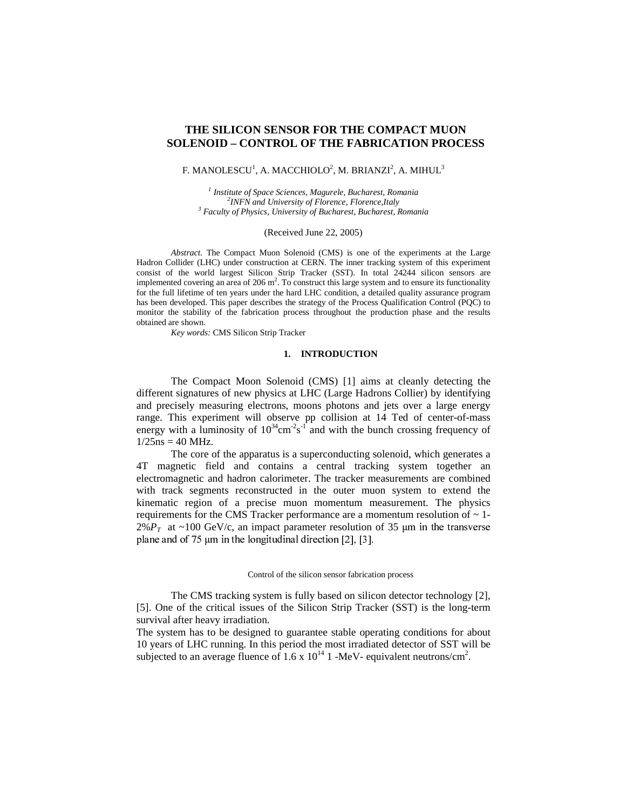# **THE SILICON SENSOR FOR THE COMPACT MUON SOLENOID – CONTROL OF THE FABRICATION PROCESS**

## F. MANOLESCU $^1$ , A. MACCHIOLO $^2$ , M. BRIANZI $^2$ , A. MIHUL $^3$

*1 Institute of Space Sciences, Magurele, Bucharest, Romania 2 INFN and University of Florence, Florence,Italy <sup>3</sup> Faculty of Physics, University of Bucharest, Bucharest, Romania*

### (Received June 22, 2005)

*Abstract*. The Compact Muon Solenoid (CMS) is one of the experiments at the Large Hadron Collider (LHC) under construction at CERN. The inner tracking system of this experiment consist of the world largest Silicon Strip Tracker (SST). In total 24244 silicon sensors are implemented covering an area of 206  $m^2$ . To construct this large system and to ensure its functionality for the full lifetime of ten years under the hard LHC condition, a detailed quality assurance program has been developed. This paper describes the strategy of the Process Qualification Control (PQC) to monitor the stability of the fabrication process throughout the production phase and the results obtained are shown.

*Key words:* CMS Silicon Strip Tracker

## **1. INTRODUCTION**

The Compact Moon Solenoid (CMS) [1] aims at cleanly detecting the different signatures of new physics at LHC (Large Hadrons Collier) by identifying and precisely measuring electrons, moons photons and jets over a large energy range. This experiment will observe pp collision at 14 Ted of center-of-mass energy with a luminosity of  $10^{34}$ cm<sup>-2</sup>s<sup>-1</sup> and with the bunch crossing frequency of  $1/25$ ns = 40 MHz.

The core of the apparatus is a superconducting solenoid, which generates a 4T magnetic field and contains a central tracking system together an electromagnetic and hadron calorimeter. The tracker measurements are combined with track segments reconstructed in the outer muon system to extend the kinematic region of a precise muon momentum measurement. The physics requirements for the CMS Tracker performance are a momentum resolution of  $\sim$  1- $2\%P_T$  at ~100 GeV/c, an impact parameter resolution of 35  $\mu$ m in the transvers plane and of 75  $\mu$ m in the longitudinal direction [2], [3].

#### Control of the silicon sensor fabrication process

The CMS tracking system is fully based on silicon detector technology [2], [5]. One of the critical issues of the Silicon Strip Tracker (SST) is the long-term survival after heavy irradiation.

The system has to be designed to guarantee stable operating conditions for about 10 years of LHC running. In this period the most irradiated detector of SST will be subjected to an average fluence of 1.6 x  $10^{14}$  1 -MeV- equivalent neutrons/cm<sup>2</sup>.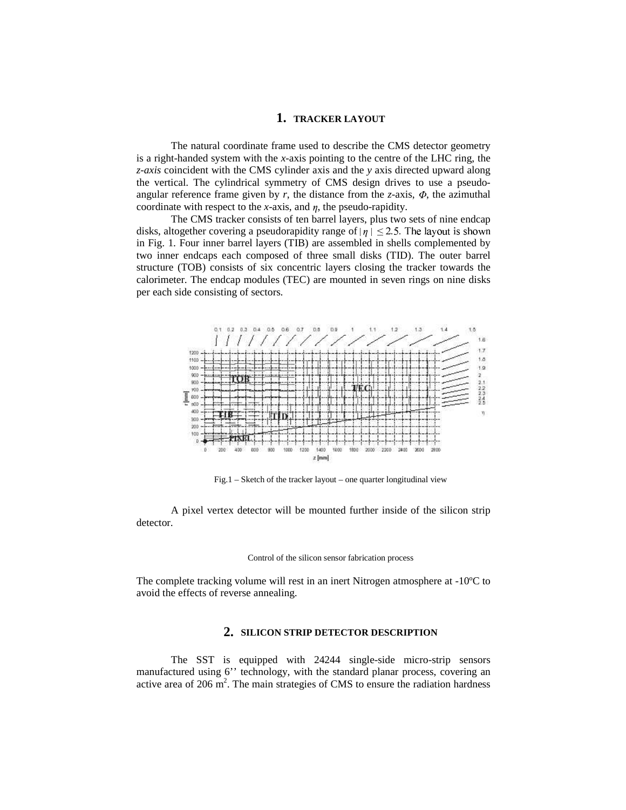# **1. TRACKER LAYOUT**

The natural coordinate frame used to describe the CMS detector geometry is a right-handed system with the *x*-axis pointing to the centre of the LHC ring, the *z-axis* coincident with the CMS cylinder axis and the *y* axis directed upward along the vertical. The cylindrical symmetry of CMS design drives to use a pseudoangular reference frame given by  $r$ , the distance from the *z*-axis,  $\Phi$ , the azimuthal coordinate with respect to the *x*-axis, and  $\eta$ , the pseudo-rapidity.

The CMS tracker consists of ten barrel layers, plus two sets of nine endcap disks, altogether covering a pseudorapidity range of  $|\eta| \le 2.5$ . The layout is shown in Fig. 1. Four inner barrel layers (TIB) are assembled in shells complemented by two inner endcaps each composed of three small disks (TID). The outer barrel structure (TOB) consists of six concentric layers closing the tracker towards the calorimeter. The endcap modules (TEC) are mounted in seven rings on nine disks per each side consisting of sectors.



Fig.1 – Sketch of the tracker layout – one quarter longitudinal view

A pixel vertex detector will be mounted further inside of the silicon strip detector.

#### Control of the silicon sensor fabrication process

The complete tracking volume will rest in an inert Nitrogen atmosphere at -10ºC to avoid the effects of reverse annealing.

# **2. SILICON STRIP DETECTOR DESCRIPTION**

The SST is equipped with 24244 single-side micro-strip sensors manufactured using 6'' technology, with the standard planar process, covering an active area of 206 m 2 . The main strategies of CMS to ensure the radiation hardness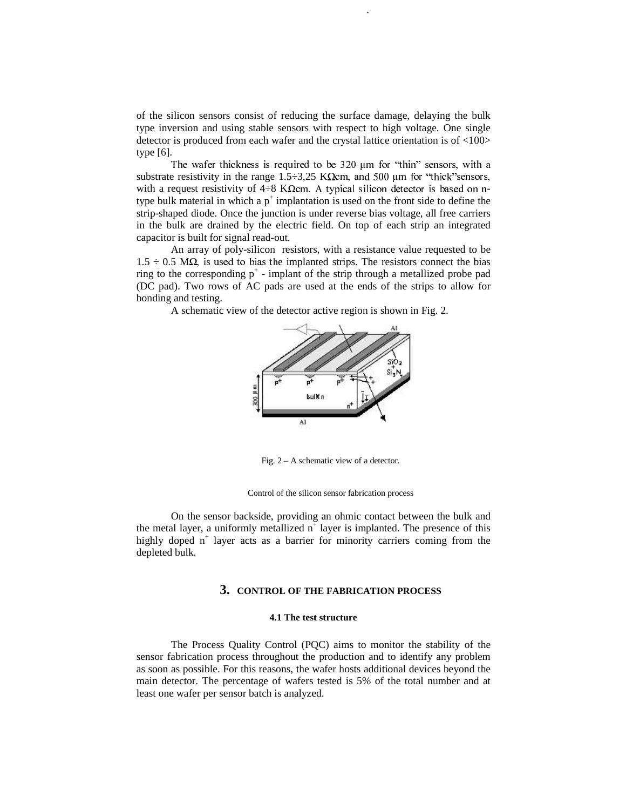of the silicon sensors consist of reducing the surface damage, delaying the bulk type inversion and using stable sensors with respect to high voltage. One single detector is produced from each wafer and the crystal lattice orientation is of <100> type [6].

 $351$  The silicon sensor for the compact muon solenoid  $\mathcal{L}_\mathcal{A}$ 

- 
 ! "#\$%'&)(+\*!,-/.02143!5678:9<;=?>@;:>A3B5>DC-EF9G78IH substrate resistivity in the range 1.5  $\div 3$ , 25 K $\Omega$ cm, and 500 µm for "thick" sensors, with a request resistivity of  $4\div 8$  K $\Omega$ cm. A typical silicon detector is based on ntype bulk material in which a  $p^+$  implantation is used on the front side to define the strip-shaped diode. Once the junction is under reverse bias voltage, all free carriers in the bulk are drained by the electric field. On top of each strip an integrated capacitor is built for signal read-out.

An array of poly-silicon resistors, with a resistance value requested to be  $1.5 \div 0.5$  M $\Omega$ , is used to bias the implanted strips. The resistors connect the bias ring to the corresponding  $p^+$  - implant of the strip through a metallized probe pad (DC pad). Two rows of AC pads are used at the ends of the strips to allow for bonding and testing.

A schematic view of the detector active region is shown in Fig. 2.



Fig. 2 – A schematic view of a detector.

Control of the silicon sensor fabrication process

On the sensor backside, providing an ohmic contact between the bulk and the metal layer, a uniformly metallized  $n^{\dagger}$  layer is implanted. The presence of this highly doped n<sup>+</sup> layer acts as a barrier for minority carriers coming from the depleted bulk.

# **3. CONTROL OF THE FABRICATION PROCESS**

### **4.1 The test structure**

The Process Quality Control (PQC) aims to monitor the stability of the sensor fabrication process throughout the production and to identify any problem as soon as possible. For this reasons, the wafer hosts additional devices beyond the main detector. The percentage of wafers tested is 5% of the total number and at least one wafer per sensor batch is analyzed.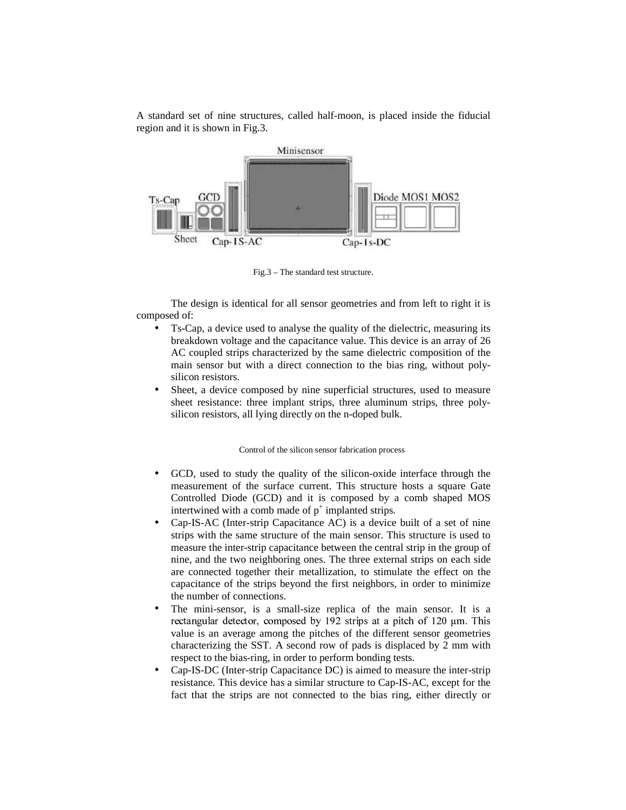A standard set of nine structures, called half-moon, is placed inside the fiducial region and it is shown in Fig.3.



Fig.3 – The standard test structure.

The design is identical for all sensor geometries and from left to right it is composed of:

- Ts-Cap, a device used to analyse the quality of the dielectric, measuring its breakdown voltage and the capacitance value. This device is an array of 26 AC coupled strips characterized by the same dielectric composition of the main sensor but with a direct connection to the bias ring, without polysilicon resistors.
- Sheet, a device composed by nine superficial structures, used to measure sheet resistance: three implant strips, three aluminum strips, three polysilicon resistors, all lying directly on the n-doped bulk.

Control of the silicon sensor fabrication process

- GCD, used to study the quality of the silicon-oxide interface through the measurement of the surface current. This structure hosts a square Gate Controlled Diode (GCD) and it is composed by a comb shaped MOS intertwined with a comb made of  $p^+$  implanted strips.
- Cap-IS-AC (Inter-strip Capacitance AC) is a device built of a set of nine strips with the same structure of the main sensor. This structure is used to measure the inter-strip capacitance between the central strip in the group of nine, and the two neighboring ones. The three external strips on each side are connected together their metallization, to stimulate the effect on the capacitance of the strips beyond the first neighbors, in order to minimize the number of connections.
- The mini-sensor, is a small-size replica of the main sensor. It is a waatawa dheedaha aan ah dhamaa ah amad ah illi uga laa value is an average among the pitches of the different sensor geometries characterizing the SST. A second row of pads is displaced by 2 mm with respect to the bias-ring, in order to perform bonding tests.
- Cap-IS-DC (Inter-strip Capacitance DC) is aimed to measure the inter-strip resistance. This device has a similar structure to Cap-IS-AC, except for the fact that the strips are not connected to the bias ring, either directly or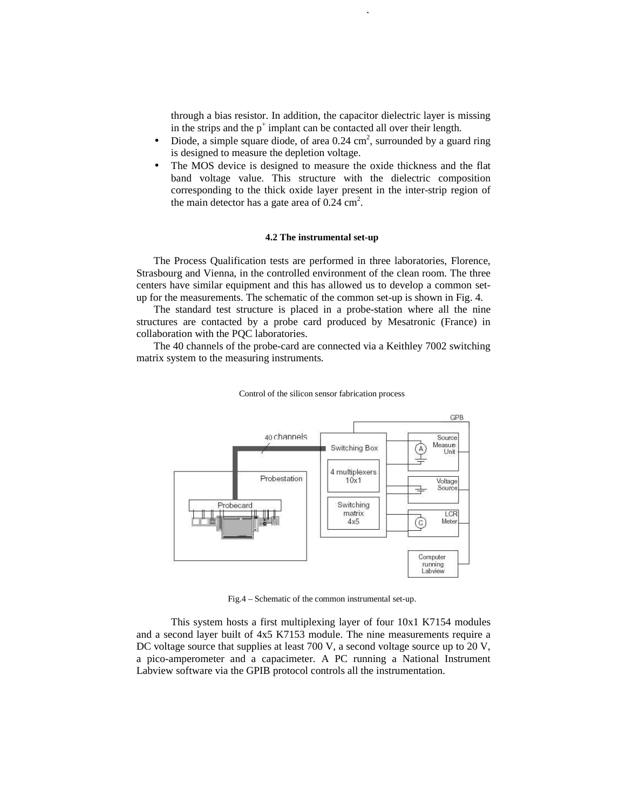through a bias resistor. In addition, the capacitor dielectric layer is missing in the strips and the  $p^+$  implant can be contacted all over their length.

• Diode, a simple square diode, of area  $0.24 \text{ cm}^2$ , surrounded by a guard ring is designed to measure the depletion voltage.

 $353$  The silicon sensor for the compact muon solenoid  $\mathcal{L}_\mathcal{S}$ 

The MOS device is designed to measure the oxide thickness and the flat band voltage value. This structure with the dielectric composition corresponding to the thick oxide layer present in the inter-strip region of the main detector has a gate area of  $0.24 \text{ cm}^2$ .

## **4.2 The instrumental set-up**

The Process Qualification tests are performed in three laboratories, Florence, Strasbourg and Vienna, in the controlled environment of the clean room. The three centers have similar equipment and this has allowed us to develop a common setup for the measurements. The schematic of the common set-up is shown in Fig. 4.

The standard test structure is placed in a probe-station where all the nine structures are contacted by a probe card produced by Mesatronic (France) in collaboration with the PQC laboratories.

The 40 channels of the probe-card are connected via a Keithley 7002 switching matrix system to the measuring instruments.



Control of the silicon sensor fabrication process

Fig.4 – Schematic of the common instrumental set-up.

This system hosts a first multiplexing layer of four 10x1 K7154 modules and a second layer built of 4x5 K7153 module. The nine measurements require a DC voltage source that supplies at least 700 V, a second voltage source up to 20 V, a pico-amperometer and a capacimeter. A PC running a National Instrument Labview software via the GPIB protocol controls all the instrumentation.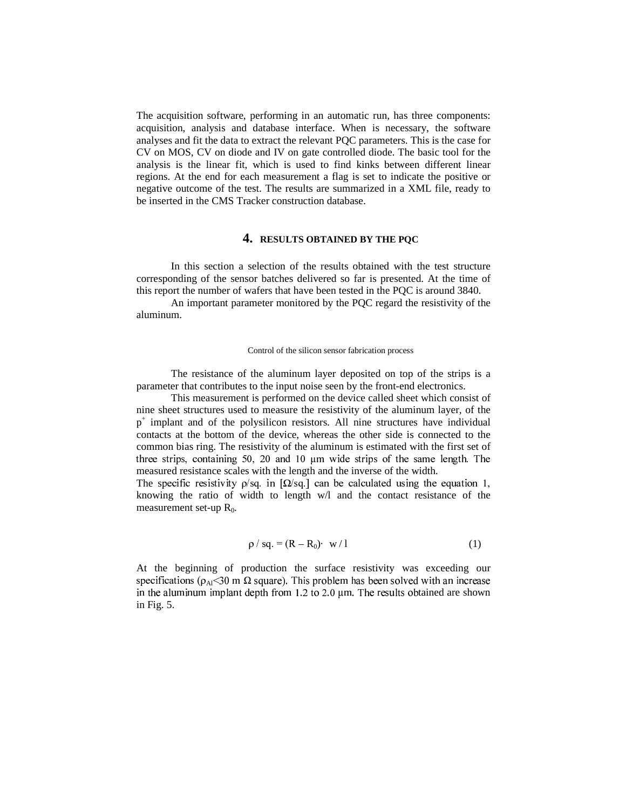The acquisition software, performing in an automatic run, has three components: acquisition, analysis and database interface. When is necessary, the software analyses and fit the data to extract the relevant PQC parameters. This is the case for CV on MOS, CV on diode and IV on gate controlled diode. The basic tool for the analysis is the linear fit, which is used to find kinks between different linear regions. At the end for each measurement a flag is set to indicate the positive or negative outcome of the test. The results are summarized in a XML file, ready to be inserted in the CMS Tracker construction database.

# **4. RESULTS OBTAINED BY THE PQC**

In this section a selection of the results obtained with the test structure corresponding of the sensor batches delivered so far is presented. At the time of this report the number of wafers that have been tested in the PQC is around 3840.

An important parameter monitored by the PQC regard the resistivity of the aluminum.

### Control of the silicon sensor fabrication process

The resistance of the aluminum layer deposited on top of the strips is a parameter that contributes to the input noise seen by the front-end electronics.

This measurement is performed on the device called sheet which consist of nine sheet structures used to measure the resistivity of the aluminum layer, of the p + implant and of the polysilicon resistors. All nine structures have individual contacts at the bottom of the device, whereas the other side is connected to the common bias ring. The resistivity of the aluminum is estimated with the first set of three strips, containing 50, 20 and 10  $\mu$ m wide strips of the same length. The measured resistance scales with the length and the inverse of the width.

The specific resistivity  $\rho$ /sq. in [ $\Omega$ /sq.] can be calculated using the equation 1, knowing the ratio of width to length w/l and the contact resistance of the measurement set-up  $R_0$ .

$$
\rho / sq. = (R - R_0) \cdot w / 1 \tag{1}
$$

At the beginning of production the surface resistivity was exceeding our specifications ( $\rho_{AI}$ <30 m  $\Omega$  square). I his problem has been solved with an increase #?5.#?&`in the aluminum implant depth from  $1.2$  to  $2.0 \mu m$ . The results obtained are shown in Fig. 5.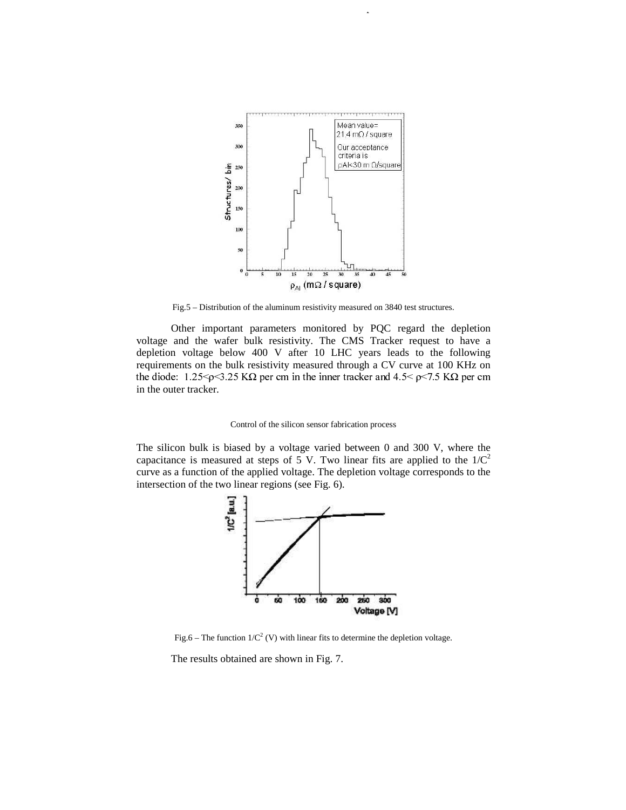

 $3555$  The silicon sensor for the compact muon solenoid  $\mathcal{L}_\mathcal{S}$ 

Fig.5 – Distribution of the aluminum resistivity measured on 3840 test structures.

Other important parameters monitored by PQC regard the depletion voltage and the wafer bulk resistivity. The CMS Tracker request to have a depletion voltage below 400 V after 10 LHC years leads to the following requirements on the bulk resistivity measured through a CV curve at 100 KHz on -  ! "#%\$'&%(\*),+.-0/#1),+2+2#3\$4-0\$653&37#%\$85%+29;:<>=?A@B?4C<>=!D!EF"#%\$'&%( in the outer tracker.

### Control of the silicon sensor fabrication process

The silicon bulk is biased by a voltage varied between 0 and 300 V, where the capacitance is measured at steps of 5 V. Two linear fits are applied to the  $1/C<sup>2</sup>$ curve as a function of the applied voltage. The depletion voltage corresponds to the intersection of the two linear regions (see Fig. 6).



Fig.6 – The function  $1/C^2$  (V) with linear fits to determine the depletion voltage.

The results obtained are shown in Fig. 7.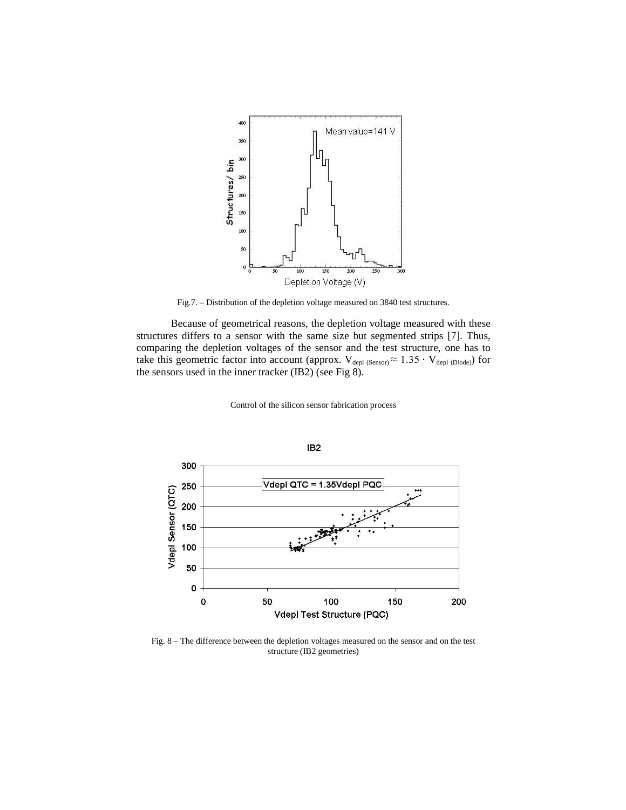

Fig.7. – Distribution of the depletion voltage measured on 3840 test structures.

Because of geometrical reasons, the depletion voltage measured with these structures differs to a sensor with the same size but segmented strips [7]. Thus, comparing the depletion voltages of the sensor and the test structure, one has to take this geometric factor into account (approx.  $V_{\text{depl (Sensor)}} \approx 1.35 \cdot V_{\text{depl (Diode)}}$ ) for the sensors used in the inner tracker (IB2) (see Fig 8).

Control of the silicon sensor fabrication process



Fig. 8 – The difference between the depletion voltages measured on the sensor and on the test structure (IB2 geometries)